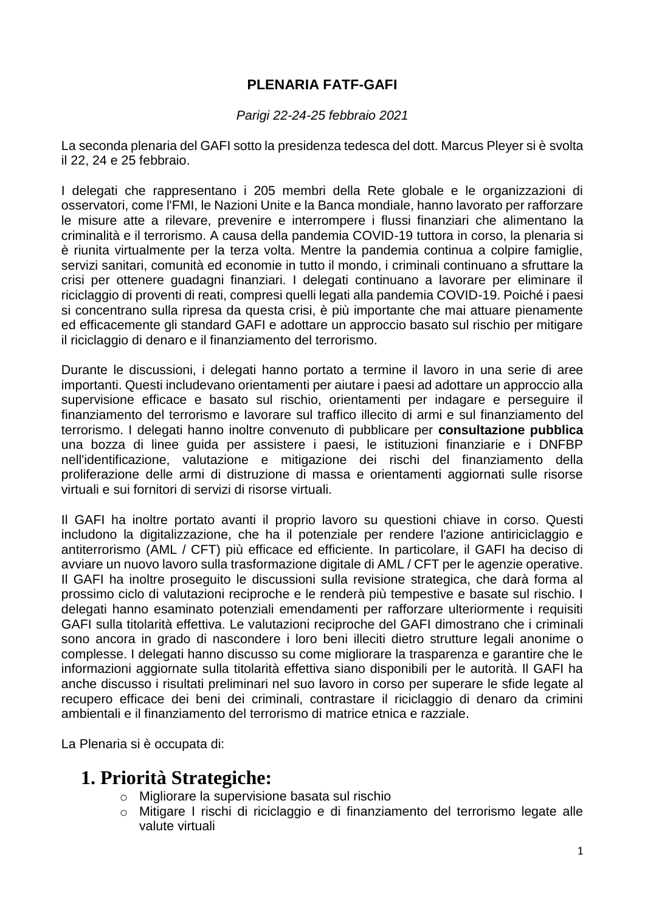#### **PLENARIA FATF-GAFI**

#### *Parigi 22-24-25 febbraio 2021*

La seconda plenaria del GAFI sotto la presidenza tedesca del dott. Marcus Pleyer si è svolta il 22, 24 e 25 febbraio.

I delegati che rappresentano i 205 membri della Rete globale e le organizzazioni di osservatori, come l'FMI, le Nazioni Unite e la Banca mondiale, hanno lavorato per rafforzare le misure atte a rilevare, prevenire e interrompere i flussi finanziari che alimentano la criminalità e il terrorismo. A causa della pandemia COVID-19 tuttora in corso, la plenaria si è riunita virtualmente per la terza volta. Mentre la pandemia continua a colpire famiglie, servizi sanitari, comunità ed economie in tutto il mondo, i criminali continuano a sfruttare la crisi per ottenere guadagni finanziari. I delegati continuano a lavorare per eliminare il riciclaggio di proventi di reati, compresi quelli legati alla pandemia COVID-19. Poiché i paesi si concentrano sulla ripresa da questa crisi, è più importante che mai attuare pienamente ed efficacemente gli standard GAFI e adottare un approccio basato sul rischio per mitigare il riciclaggio di denaro e il finanziamento del terrorismo.

Durante le discussioni, i delegati hanno portato a termine il lavoro in una serie di aree importanti. Questi includevano orientamenti per aiutare i paesi ad adottare un approccio alla supervisione efficace e basato sul rischio, orientamenti per indagare e perseguire il finanziamento del terrorismo e lavorare sul traffico illecito di armi e sul finanziamento del terrorismo. I delegati hanno inoltre convenuto di pubblicare per **consultazione pubblica** una bozza di linee guida per assistere i paesi, le istituzioni finanziarie e i DNFBP nell'identificazione, valutazione e mitigazione dei rischi del finanziamento della proliferazione delle armi di distruzione di massa e orientamenti aggiornati sulle risorse virtuali e sui fornitori di servizi di risorse virtuali.

Il GAFI ha inoltre portato avanti il proprio lavoro su questioni chiave in corso. Questi includono la digitalizzazione, che ha il potenziale per rendere l'azione antiriciclaggio e antiterrorismo (AML / CFT) più efficace ed efficiente. In particolare, il GAFI ha deciso di avviare un nuovo lavoro sulla trasformazione digitale di AML / CFT per le agenzie operative. Il GAFI ha inoltre proseguito le discussioni sulla revisione strategica, che darà forma al prossimo ciclo di valutazioni reciproche e le renderà più tempestive e basate sul rischio. I delegati hanno esaminato potenziali emendamenti per rafforzare ulteriormente i requisiti GAFI sulla titolarità effettiva. Le valutazioni reciproche del GAFI dimostrano che i criminali sono ancora in grado di nascondere i loro beni illeciti dietro strutture legali anonime o complesse. I delegati hanno discusso su come migliorare la trasparenza e garantire che le informazioni aggiornate sulla titolarità effettiva siano disponibili per le autorità. Il GAFI ha anche discusso i risultati preliminari nel suo lavoro in corso per superare le sfide legate al recupero efficace dei beni dei criminali, contrastare il riciclaggio di denaro da crimini ambientali e il finanziamento del terrorismo di matrice etnica e razziale.

La Plenaria si è occupata di:

### **1. Priorità Strategiche:**

- o Migliorare la supervisione basata sul rischio
- o Mitigare I rischi di riciclaggio e di finanziamento del terrorismo legate alle valute virtuali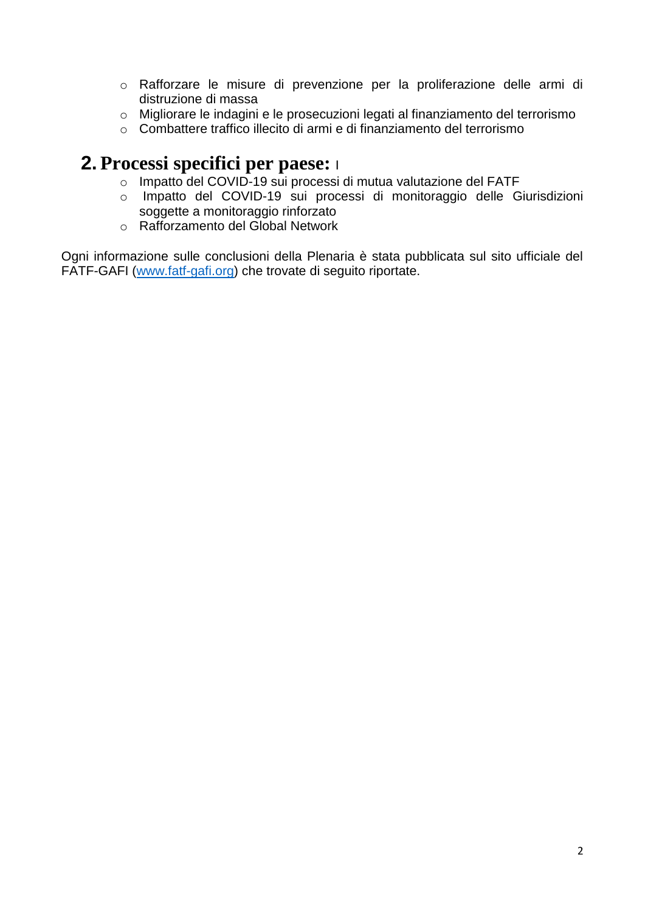- o Rafforzare le misure di prevenzione per la proliferazione delle armi di distruzione di massa
- o Migliorare le indagini e le prosecuzioni legati al finanziamento del terrorismo
- o Combattere traffico illecito di armi e di finanziamento del terrorismo

## **2. Processi specifici per paese:** <sup>I</sup>

- o Impatto del COVID-19 sui processi di mutua valutazione del FATF
- o Impatto del COVID-19 sui processi di monitoraggio delle Giurisdizioni soggette a monitoraggio rinforzato
- o Rafforzamento del Global Network

Ogni informazione sulle conclusioni della Plenaria è stata pubblicata sul sito ufficiale del FATF-GAFI [\(www.fatf-gafi.org\)](http://www.fatf-gafi.org/) che trovate di seguito riportate.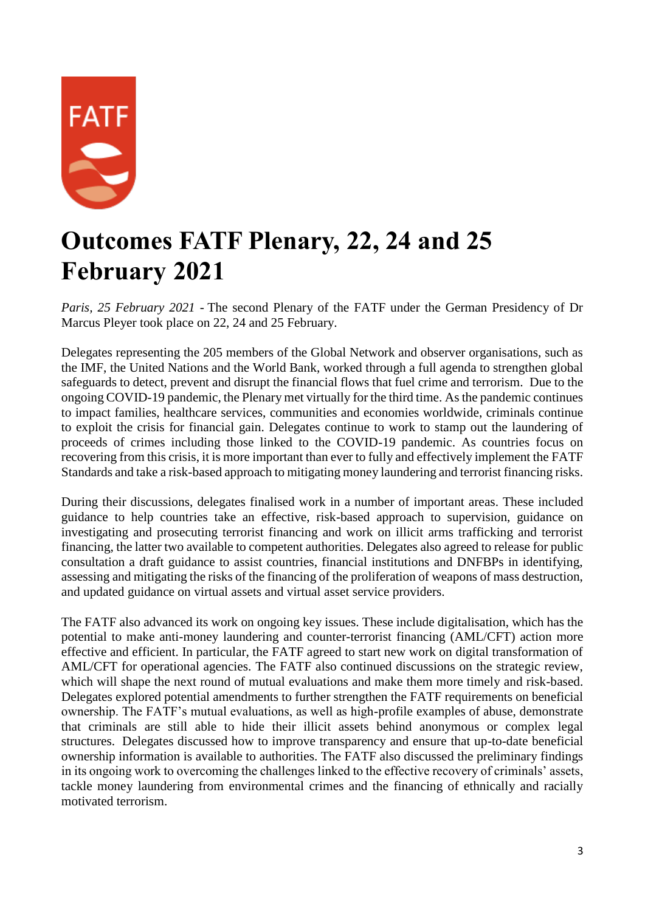

# **Outcomes FATF Plenary, 22, 24 and 25 February 2021**

*Paris, 25 February 2021* - The second Plenary of the FATF under the German Presidency of Dr Marcus Pleyer took place on 22, 24 and 25 February.

Delegates representing the 205 members of the Global Network and observer organisations, such as the IMF, the United Nations and the World Bank, worked through a full agenda to strengthen global safeguards to detect, prevent and disrupt the financial flows that fuel crime and terrorism. Due to the ongoing COVID-19 pandemic, the Plenary met virtually for the third time. As the pandemic continues to impact families, healthcare services, communities and economies worldwide, criminals continue to exploit the crisis for financial gain. Delegates continue to work to stamp out the laundering of proceeds of crimes including those linked to the COVID-19 pandemic. As countries focus on recovering from this crisis, it is more important than ever to fully and effectively implement the FATF Standards and take a risk-based approach to mitigating money laundering and terrorist financing risks.

During their discussions, delegates finalised work in a number of important areas. These included guidance to help countries take an effective, risk-based approach to supervision, guidance on investigating and prosecuting terrorist financing and work on illicit arms trafficking and terrorist financing, the latter two available to competent authorities. Delegates also agreed to release for public consultation a draft guidance to assist countries, financial institutions and DNFBPs in identifying, assessing and mitigating the risks of the financing of the proliferation of weapons of mass destruction, and updated guidance on virtual assets and virtual asset service providers.

The FATF also advanced its work on ongoing key issues. These include digitalisation, which has the potential to make anti-money laundering and counter-terrorist financing (AML/CFT) action more effective and efficient. In particular, the FATF agreed to start new work on digital transformation of AML/CFT for operational agencies. The FATF also continued discussions on the strategic review, which will shape the next round of mutual evaluations and make them more timely and risk-based. Delegates explored potential amendments to further strengthen the FATF requirements on beneficial ownership. The FATF's mutual evaluations, as well as high-profile examples of abuse, demonstrate that criminals are still able to hide their illicit assets behind anonymous or complex legal structures. Delegates discussed how to improve transparency and ensure that up-to-date beneficial ownership information is available to authorities. The FATF also discussed the preliminary findings in its ongoing work to overcoming the challenges linked to the effective recovery of criminals' assets, tackle money laundering from environmental crimes and the financing of ethnically and racially motivated terrorism.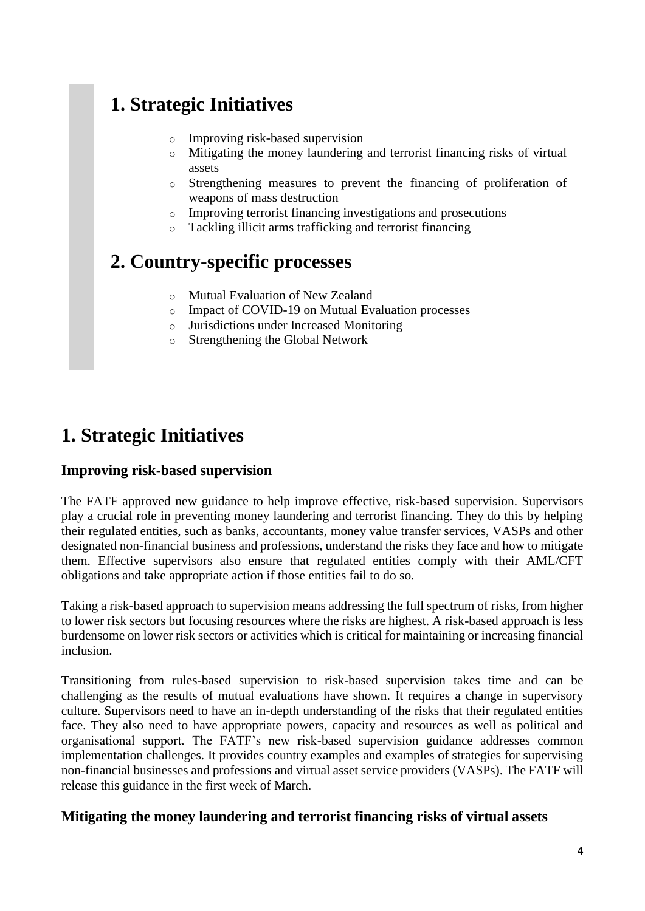# **1. Strategic Initiatives**

- o Improving risk-based supervision
- o Mitigating the money laundering and terrorist financing risks of virtual assets
- o Strengthening measures to prevent the financing of proliferation of weapons of mass destruction
- o Improving terrorist financing investigations and prosecutions
- o Tackling illicit arms trafficking and terrorist financing

# **2. Country-specific processes**

- o Mutual Evaluation of New Zealand
- o Impact of COVID-19 on Mutual Evaluation processes
- o Jurisdictions under Increased Monitoring
- o Strengthening the Global Network

# **1. Strategic Initiatives**

#### **Improving risk-based supervision**

The FATF approved new guidance to help improve effective, risk-based supervision. Supervisors play a crucial role in preventing money laundering and terrorist financing. They do this by helping their regulated entities, such as banks, accountants, money value transfer services, VASPs and other designated non-financial business and professions, understand the risks they face and how to mitigate them. Effective supervisors also ensure that regulated entities comply with their AML/CFT obligations and take appropriate action if those entities fail to do so.

Taking a risk-based approach to supervision means addressing the full spectrum of risks, from higher to lower risk sectors but focusing resources where the risks are highest. A risk-based approach is less burdensome on lower risk sectors or activities which is critical for maintaining or increasing financial inclusion.

Transitioning from rules-based supervision to risk-based supervision takes time and can be challenging as the results of mutual evaluations have shown. It requires a change in supervisory culture. Supervisors need to have an in-depth understanding of the risks that their regulated entities face. They also need to have appropriate powers, capacity and resources as well as political and organisational support. The FATF's new risk-based supervision guidance addresses common implementation challenges. It provides country examples and examples of strategies for supervising non-financial businesses and professions and virtual asset service providers (VASPs). The FATF will release this guidance in the first week of March.

#### **Mitigating the money laundering and terrorist financing risks of virtual assets**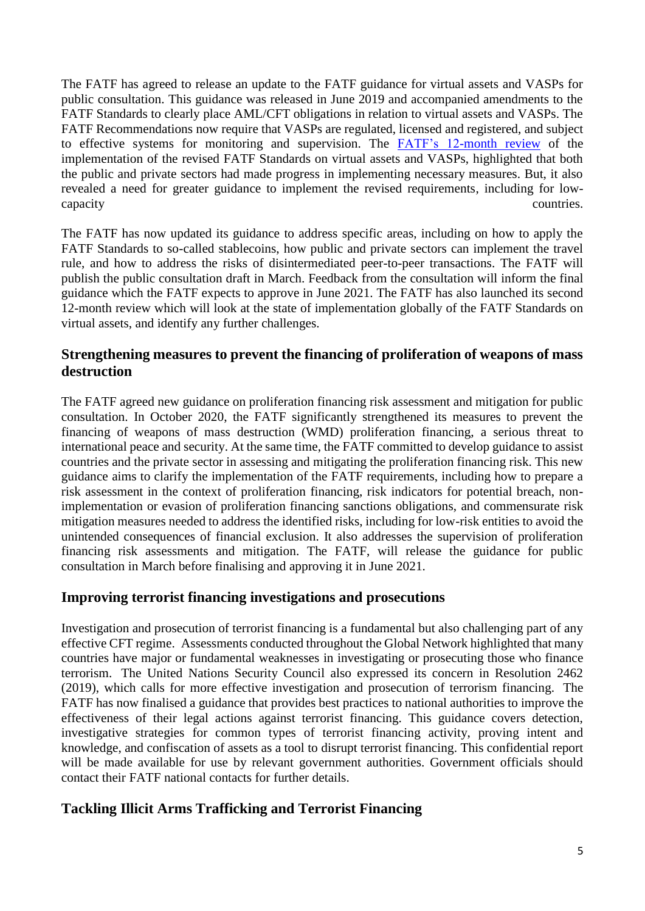The FATF has agreed to release an update to the FATF guidance for virtual assets and VASPs for public consultation. This guidance was released in June 2019 and accompanied amendments to the FATF Standards to clearly place AML/CFT obligations in relation to virtual assets and VASPs. The FATF Recommendations now require that VASPs are regulated, licensed and registered, and subject to effective systems for monitoring and supervision. The [FATF's 12-month review](http://www.fatf-gafi.org/publications/fatfrecommendations/documents/12-month-review-virtual-assets-vasps.html) of the implementation of the revised FATF Standards on virtual assets and VASPs, highlighted that both the public and private sectors had made progress in implementing necessary measures. But, it also revealed a need for greater guidance to implement the revised requirements, including for lowcapacity countries.

The FATF has now updated its guidance to address specific areas, including on how to apply the FATF Standards to so-called stablecoins, how public and private sectors can implement the travel rule, and how to address the risks of disintermediated peer-to-peer transactions. The FATF will publish the public consultation draft in March. Feedback from the consultation will inform the final guidance which the FATF expects to approve in June 2021. The FATF has also launched its second 12-month review which will look at the state of implementation globally of the FATF Standards on virtual assets, and identify any further challenges.

#### **Strengthening measures to prevent the financing of proliferation of weapons of mass destruction**

The FATF agreed new guidance on proliferation financing risk assessment and mitigation for public consultation. In October 2020, the FATF significantly strengthened its measures to prevent the financing of weapons of mass destruction (WMD) proliferation financing, a serious threat to international peace and security. At the same time, the FATF committed to develop guidance to assist countries and the private sector in assessing and mitigating the proliferation financing risk. This new guidance aims to clarify the implementation of the FATF requirements, including how to prepare a risk assessment in the context of proliferation financing, risk indicators for potential breach, nonimplementation or evasion of proliferation financing sanctions obligations, and commensurate risk mitigation measures needed to address the identified risks, including for low-risk entities to avoid the unintended consequences of financial exclusion. It also addresses the supervision of proliferation financing risk assessments and mitigation. The FATF, will release the guidance for public consultation in March before finalising and approving it in June 2021.

#### **Improving terrorist financing investigations and prosecutions**

Investigation and prosecution of terrorist financing is a fundamental but also challenging part of any effective CFT regime. Assessments conducted throughout the Global Network highlighted that many countries have major or fundamental weaknesses in investigating or prosecuting those who finance terrorism. The United Nations Security Council also expressed its concern in Resolution 2462 (2019), which calls for more effective investigation and prosecution of terrorism financing. The FATF has now finalised a guidance that provides best practices to national authorities to improve the effectiveness of their legal actions against terrorist financing. This guidance covers detection, investigative strategies for common types of terrorist financing activity, proving intent and knowledge, and confiscation of assets as a tool to disrupt terrorist financing. This confidential report will be made available for use by relevant government authorities. Government officials should contact their FATF national contacts for further details.

#### **Tackling Illicit Arms Trafficking and Terrorist Financing**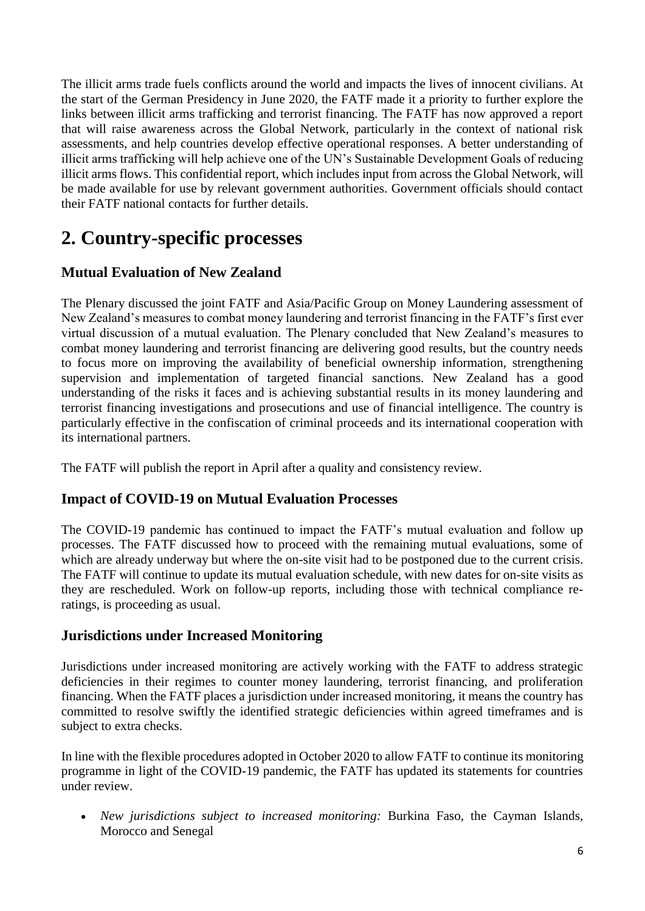The illicit arms trade fuels conflicts around the world and impacts the lives of innocent civilians. At the start of the German Presidency in June 2020, the FATF made it a priority to further explore the links between illicit arms trafficking and terrorist financing. The FATF has now approved a report that will raise awareness across the Global Network, particularly in the context of national risk assessments, and help countries develop effective operational responses. A better understanding of illicit arms trafficking will help achieve one of the UN's Sustainable Development Goals of reducing illicit arms flows. This confidential report, which includes input from across the Global Network, will be made available for use by relevant government authorities. Government officials should contact their FATF national contacts for further details.

# **2. Country-specific processes**

#### **Mutual Evaluation of New Zealand**

The Plenary discussed the joint FATF and Asia/Pacific Group on Money Laundering assessment of New Zealand's measures to combat money laundering and terrorist financing in the FATF's first ever virtual discussion of a mutual evaluation. The Plenary concluded that New Zealand's measures to combat money laundering and terrorist financing are delivering good results, but the country needs to focus more on improving the availability of beneficial ownership information, strengthening supervision and implementation of targeted financial sanctions. New Zealand has a good understanding of the risks it faces and is achieving substantial results in its money laundering and terrorist financing investigations and prosecutions and use of financial intelligence. The country is particularly effective in the confiscation of criminal proceeds and its international cooperation with its international partners.

The FATF will publish the report in April after a quality and consistency review.

#### **Impact of COVID-19 on Mutual Evaluation Processes**

The COVID-19 pandemic has continued to impact the FATF's mutual evaluation and follow up processes. The FATF discussed how to proceed with the remaining mutual evaluations, some of which are already underway but where the on-site visit had to be postponed due to the current crisis. The FATF will continue to update its mutual evaluation schedule, with new dates for on-site visits as they are rescheduled. Work on follow-up reports, including those with technical compliance reratings, is proceeding as usual.

#### **Jurisdictions under Increased Monitoring**

Jurisdictions under increased monitoring are actively working with the FATF to address strategic deficiencies in their regimes to counter money laundering, terrorist financing, and proliferation financing. When the FATF places a jurisdiction under increased monitoring, it means the country has committed to resolve swiftly the identified strategic deficiencies within agreed timeframes and is subject to extra checks.

In line with the flexible procedures adopted in October 2020 to allow FATF to continue its monitoring programme in light of the COVID-19 pandemic, the FATF has updated its statements for countries under review.

 *New jurisdictions subject to increased monitoring:* Burkina Faso, the Cayman Islands, Morocco and Senegal